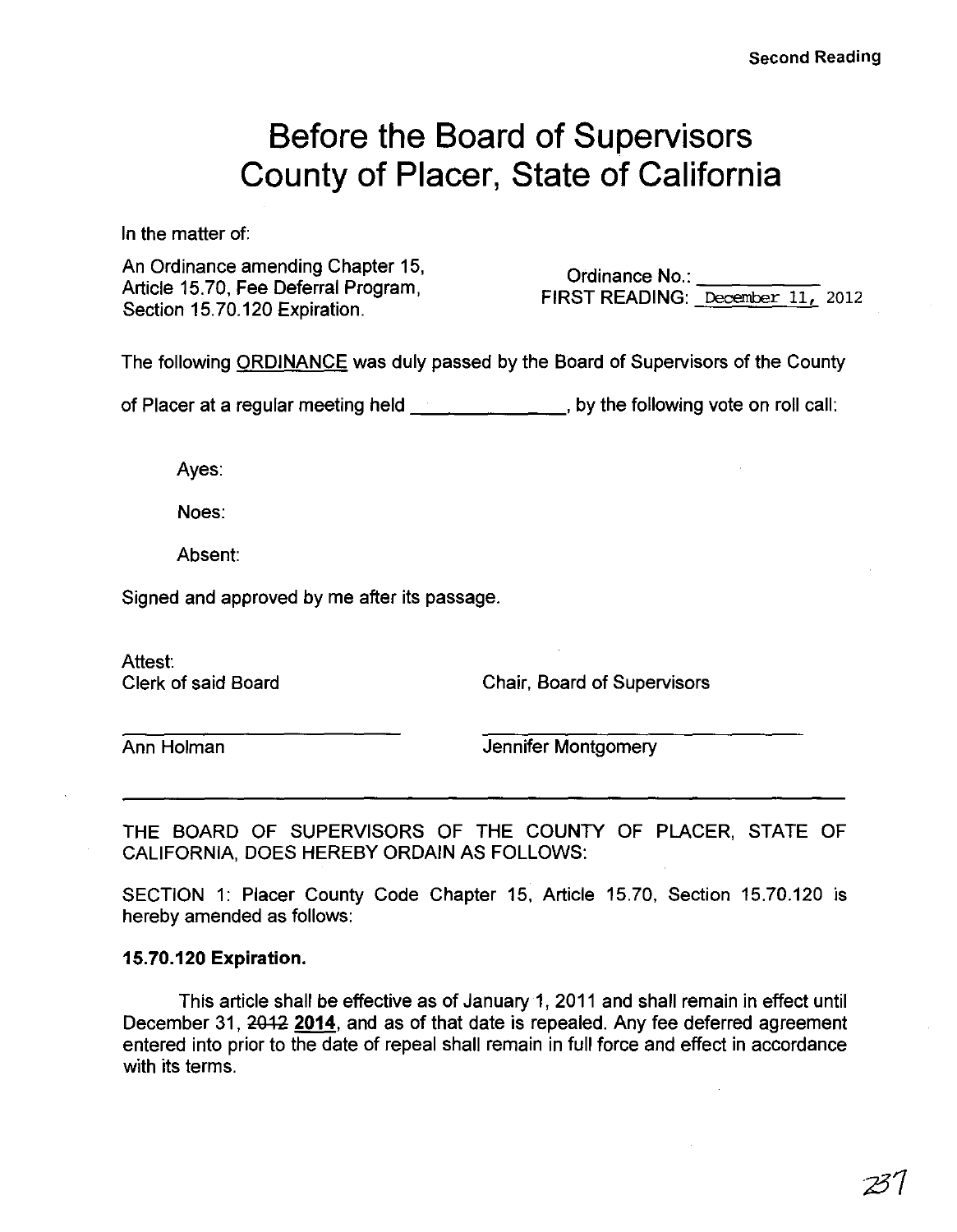# **Before the Board of Supervisors County of Placer, State of California**

In the matter of:

An Ordinance amending Chapter 15, Article 15.70, Fee Deferral Program, Section 15.70.120 Expiration.

Ordinance No.: \_\_\_\_ FIRST READING: December 11, 2012

The following ORDINANCE was duly passed by the Board of Supervisors of the County

of Placer at a regular meeting held \_\_\_\_\_\_ , by the following vote on roll call:

Ayes:

Noes:

Absent:

Signed and approved by me after its passage.

Attest:

Clerk of said Board Chair, Board of Supervisors

**Ann Holman Jennifer Montgomery** 

THE BOARD OF SUPERVISORS OF THE COUNTY OF PLACER, STATE OF CALIFORNIA, DOES HEREBY ORDAIN AS FOLLOWS:

SECTION 1: Placer County Code Chapter 15, Article 15.70, Section 15.70.120 is hereby amended as follows:

# 15.70.120 Expiration.

This article shall be effective as of January 1 , 2011 and shall remain in effect until December 31, 2012 2014, and as of that date is repealed. Any fee deferred agreement entered into prior to the date of repeal shall remain in full force and effect in accordance with its terms.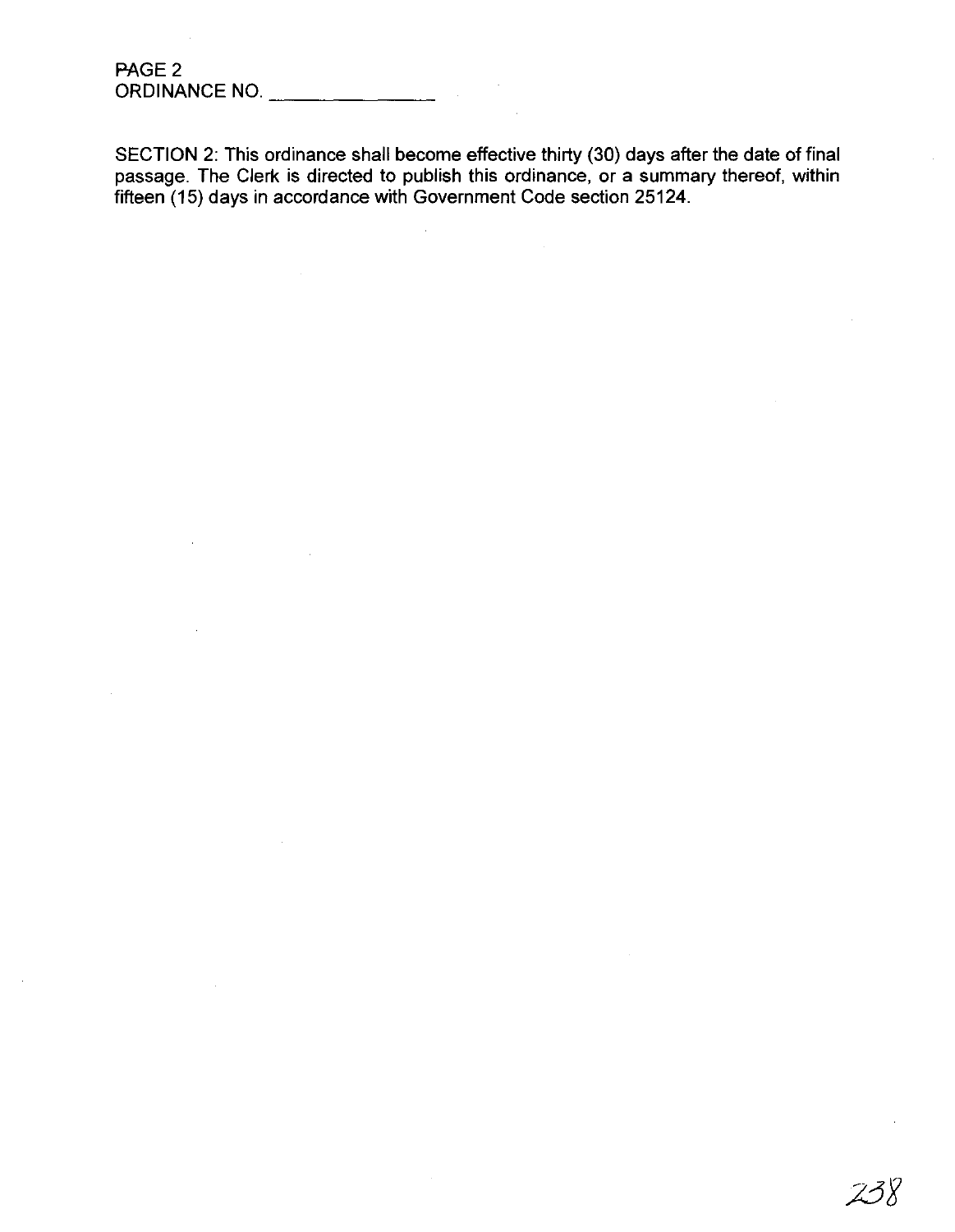SECTION 2: This ordinance shall become effective thirty (30) days after the date of final passage. The Clerk is directed to publish this ordinance, or a summary thereof, within fifteen (15) days in accordance with Government Code section 25124.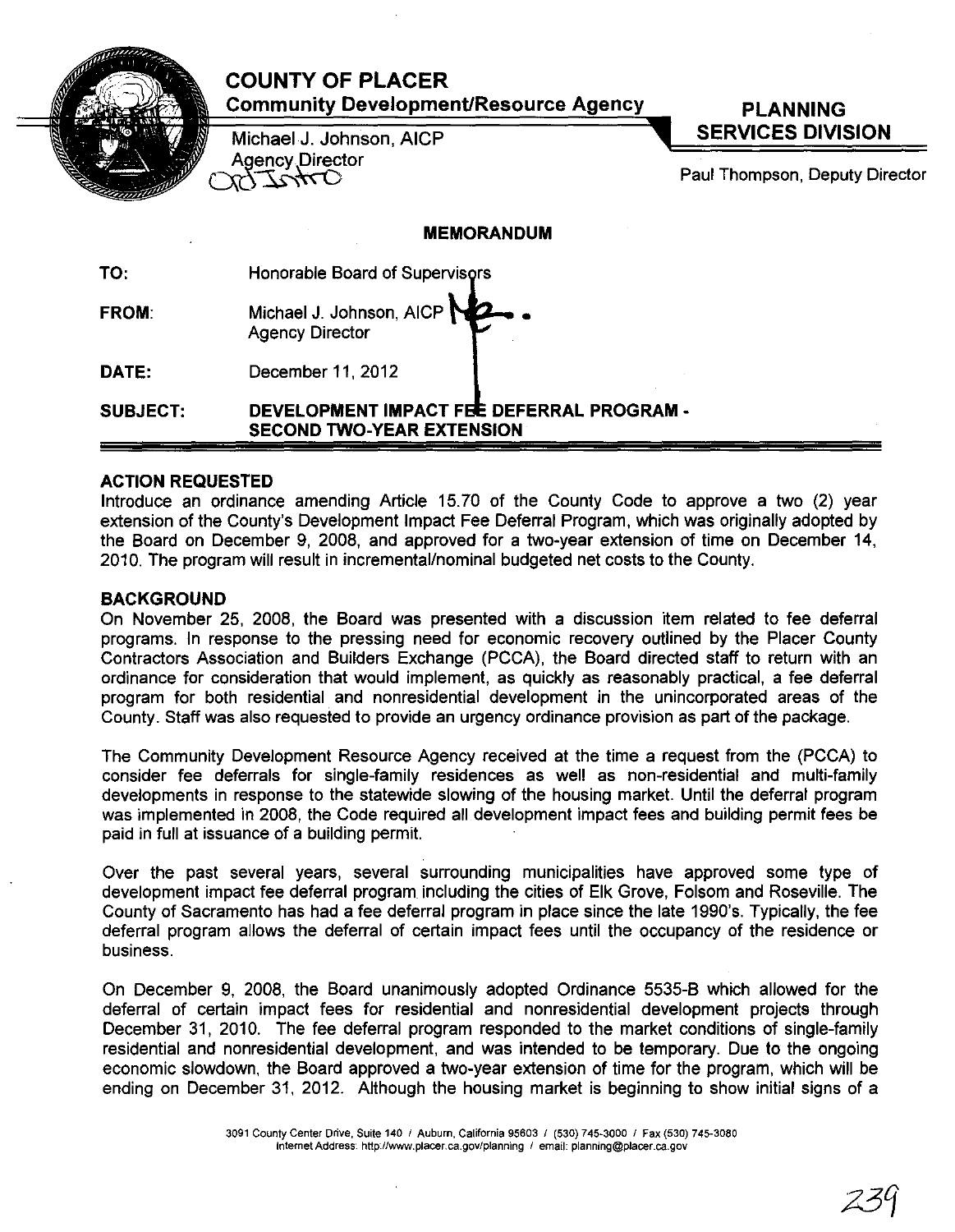|                 | <b>COUNTY OF PLACER</b><br><b>Community Development/Resource Agency</b><br>Michael J. Johnson, AICP | <b>PLANNING</b><br><b>SERVICES DIVISION</b> |
|-----------------|-----------------------------------------------------------------------------------------------------|---------------------------------------------|
|                 | <b>Agency Director</b><br>TAAT                                                                      | Paul Thompson, Deputy Director              |
|                 | <b>MEMORANDUM</b>                                                                                   |                                             |
| TO:             | Honorable Board of Supervisors                                                                      |                                             |
| <b>FROM:</b>    | Michael J. Johnson, AICP<br><b>Agency Director</b>                                                  |                                             |
| DATE:           | December 11, 2012                                                                                   |                                             |
| <b>SUBJECT:</b> | DEVELOPMENT IMPACT FEE DEFERRAL PROGRAM -<br><b>SECOND TWO-YEAR EXTENSION</b>                       |                                             |

#### ACTION REQUESTED

Introduce an ordinance amending Article 15.70 of the County Code to approve a two (2) year extension of the County's Development Impact Fee Deferral Program, which was originally adopted by the Board on December 9, 2008, and approved for a two-year extension of time on December 14, 2010. The program will result in incremental/nominal budgeted net costs to the County.

#### BACKGROUND

On November 25, 2008, the Board was presented with a discussion item related to fee deferral programs. In response to the pressing need for economic recovery outlined by the Placer County Contractors Association and Builders Exchange (PCCA), the Board directed staff to return with an ordinance for consideration that would implement, as quickly as reasonably practical, a fee deferral program for both residential and nonresidential development in the unincorporated areas of the County. Staff was also requested to provide an urgency ordinance provision as part of the package.

The Community Development Resource Agency received at the time a request from the (PCCA) to consider fee deferrals for single-family residences as well as non-residential and multi-family developments in response to the statewide slowing of the housing market. Until the deferral program was implemented in 2008, the Code required all development impact fees and building permit fees be paid in full at issuance of a building permit.

Over the past several years, several surrounding municipalities have approved some type of development impact fee deferral program including the cities of Elk Grove, Folsom and Roseville. The County of Sacramento has had a fee deferral program in place since the late 1990's. Typically, the fee deferral program allows the deferral of certain impact fees until the occupancy of the residence or business.

On December 9, 2008, the Board unanimously adopted Ordinance 5535-B which allowed for the deferral of certain impact fees for residential and nonresidential development projects through December 31, 2010. The fee deferral program responded to the market conditions of single-family residential and nonresidential development, and was intended to be temporary. Due to the ongoing economic slowdown, the Board approved a two-year extension of time for the program, which will be ending on December 31, 2012. Although the housing market is beginning to show initial signs of a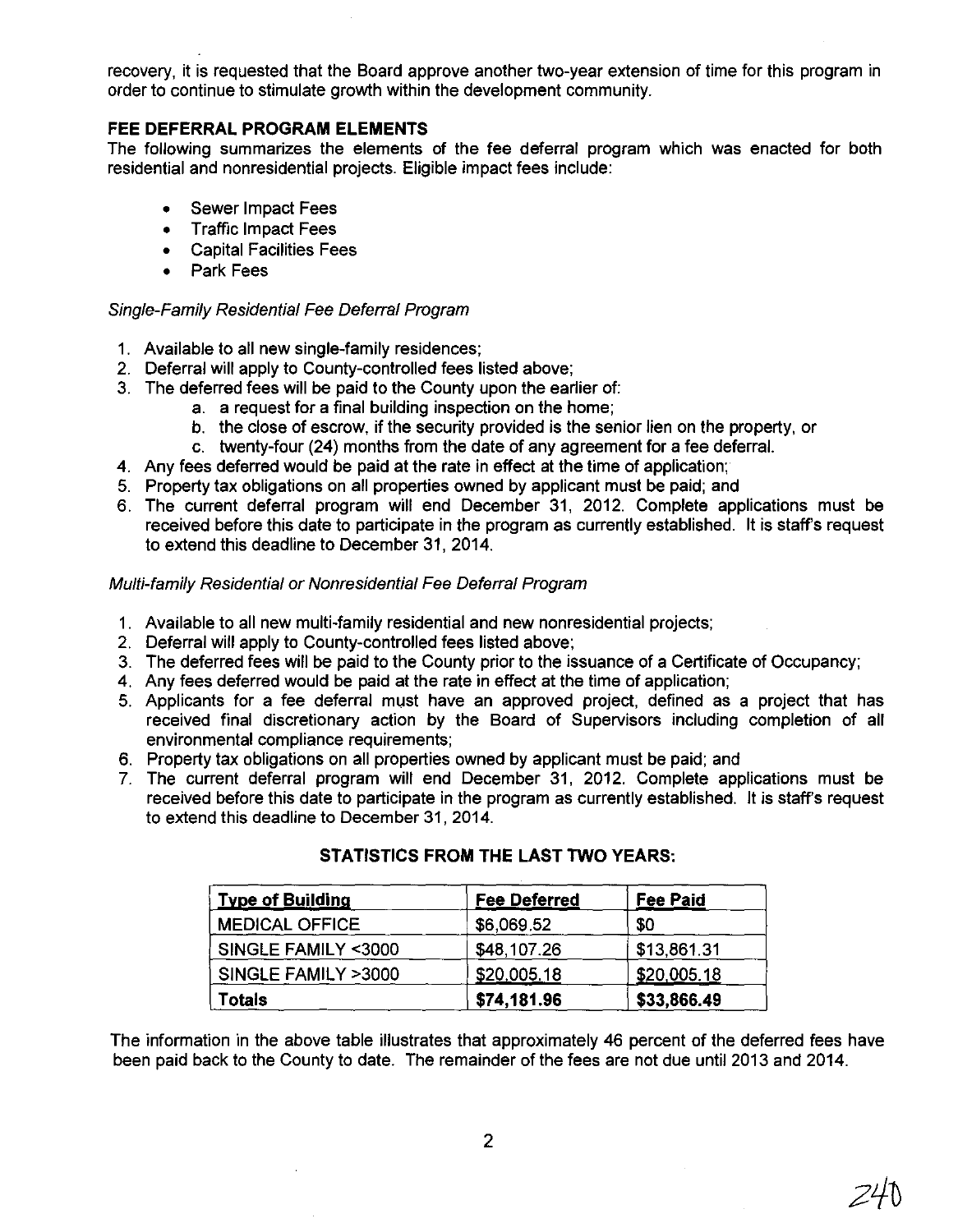recovery, it is requested that the Board approve another two-year extension of time for this program in order to continue to stimulate growth within the development community.

# **FEE DEFERRAL PROGRAM ELEMENTS**

The following summarizes the elements of the fee deferral program which was enacted for both residential and nonresidential projects. Eligible impact fees include:

- Sewer Impact Fees
- Traffic Impact Fees
- Capital Facilities Fees
- Park Fees

### Single-Family Residential Fee Deferral Program

- 1. Available to all new single-family residences;
- 2. Deferral will apply to County-controlled fees listed above;
- 3. The deferred fees will be paid to the County upon the earlier of:
	- a. a request for a final building inspection on the home;
	- b. the close of escrow, if the security provided is the senior lien on the property, or
	- c. twenty-four (24) months from the date of any agreement for a fee deferral.
- 4. Any fees deferred would be paid at the rate in effect at the time of application;
- 5. Property tax obligations on all properties owned by applicant must be paid; and
- 6. The current deferral program will end December 31, 2012. Complete applications must be received before this date to participate in the program as currently established. It is staff's request to extend this deadline to December 31, 2014.

## Multi-family Residential or Nonresidential Fee Deferral Program

- 1. Available to all new multi-family residential and new nonresidential projects;
- 2. Deferral will apply to County-controlled fees listed above;
- 3. The deferred fees will be paid to the County prior to the issuance of a Certificate of Occupancy;
- 4. Any fees deferred would be paid at the rate in effect at the time of application;
- 5. Applicants for a fee deferral must have an approved project, defined as a project that has received final discretionary action by the Board of Supervisors including completion of all environmental compliance requirements;
- 6. Property tax obligations on all properties owned by applicant must be paid; and
- 7. The current deferral program will end December 31, 2012. Complete applications must be received before this date to participate in the program as currently established. It is staff's request to extend this deadline to December 31, 2014.

| <b>Type of Building</b> | <b>Fee Deferred</b> | Fee Paid    |
|-------------------------|---------------------|-------------|
| <b>MEDICAL OFFICE</b>   | \$6,069.52          | \$0         |
| SINGLE FAMILY <3000     | \$48,107.26         | \$13,861.31 |
| SINGLE FAMILY >3000     | \$20,005.18         | \$20,005.18 |
| Totals                  | \$74,181.96         | \$33,866.49 |

## **STATISTICS FROM THE LAST TWO YEARS:**

The information in the above table illustrates that approximately 46 percent of the deferred fees have been paid back to the County to date. The remainder of the fees are not due until 2013 and 2014.

2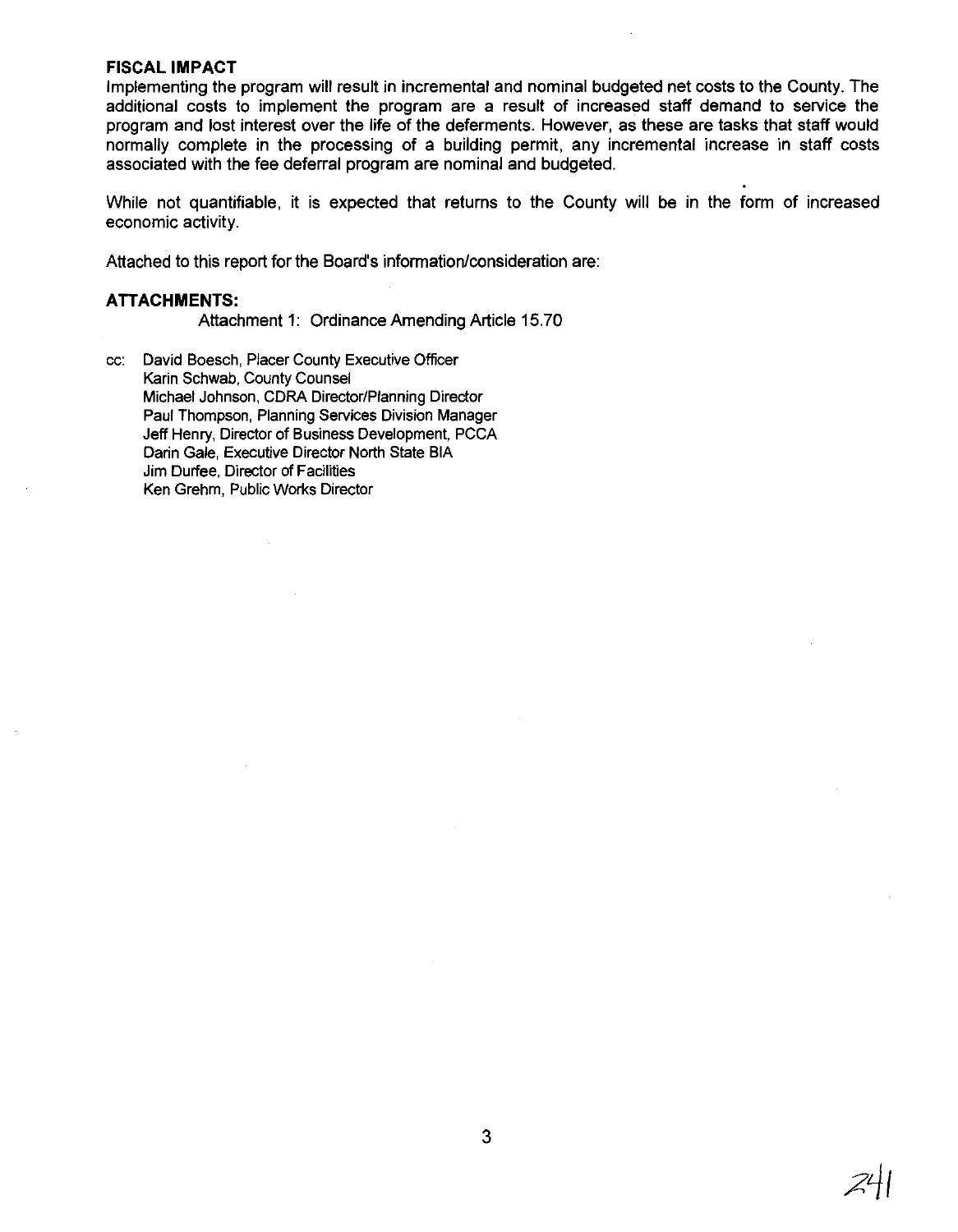#### **FISCAL IMPACT**

Implementing the program will result in incremental and nominal budgeted net costs to the County. The additional costs to implement the program are a result of increased staff demand to service the program and lost interest over the life of the deferments. However, as these are tasks that staff would normally complete in the processing of a building permit, any incremental increase in staff costs associated with the fee deferral program are nominal and budgeted.

While not quantifiable, it is expected that returns to the County will be in the form of increased economic activity.

Attached to this report for the Board's information/consideration are:

# **ATTACHMENTS:**

Attachment 1: Ordinance Amending Article 15.70

cc: David Boesch, Placer County Executive Officer Karin Schwab, County Counsel Michael Johnson, CDRA Director/Planning Director Paul Thompson, Planning Services Division Manager Jeff Henry, Director of Business Development, PCCA Darin Gale, Executive Director North State BIA Jim Durfee, Director of Facilities Ken Grehm, Public Works Director